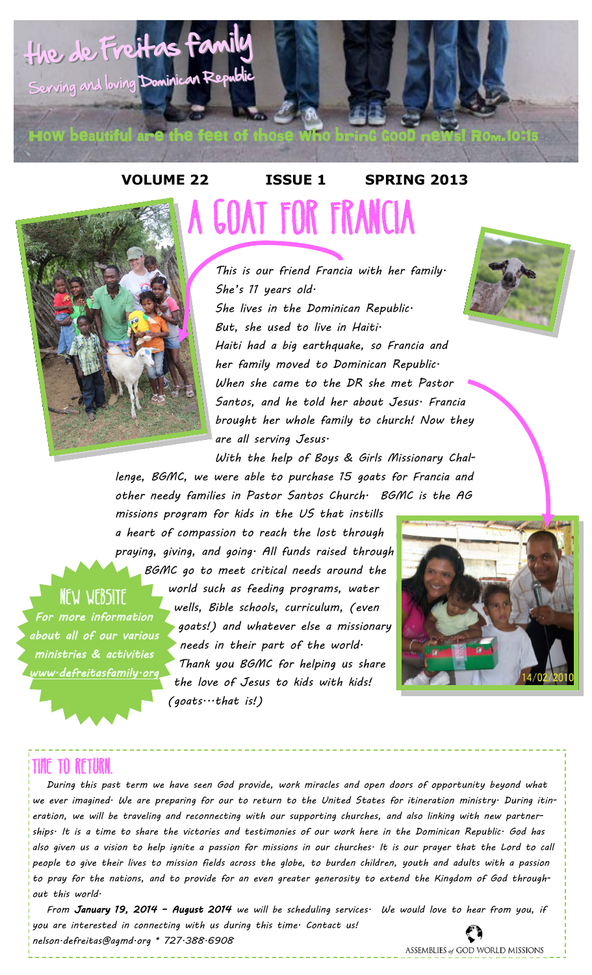



## **VOLUME 22 ISSUE 1 SPRING 2013** A Goat for Francia

*This is our friend Francia with her family. She's 11 years old. She lives in the Dominican Republic. But, she used to live in Haiti. Haiti had a big earthquake, so Francia and her family moved to Dominican Republic. When she came to the DR she met Pastor Santos, and he told her about Jesus. Francia brought her whole family to church! Now they are all serving Jesus.* 



*With the help of Boys & Girls Missionary Challenge, BGMC, we were able to purchase 15 goats for Francia and other needy families in Pastor Santos Church. BGMC is the AG* 

*missions program for kids in the US that instills a heart of compassion to reach the lost through praying, giving, and going. All funds raised through* 

*BGMC go to meet critical needs around the world such as feeding programs, water wells, Bible schools, curriculum, (even goats!) and whatever else a missionary needs in their part of the world. Thank you BGMC for helping us share the love of Jesus to kids with kids! (goats...that is!)* 



### Time to Return.

**NEW WEBSITE** 

*For more information about all of our various ministries & activities* 

*www.defreitasfamily.org* 

 *During this past term we have seen God provide, work miracles and open doors of opportunity beyond what we ever imagined. We are preparing for our to return to the United States for itineration ministry. During itineration, we will be traveling and reconnecting with our supporting churches, and also linking with new partnerships. It is a time to share the victories and testimonies of our work here in the Dominican Republic. God has also given us a vision to help ignite a passion for missions in our churches. It is our prayer that the Lord to call people to give their lives to mission fields across the globe, to burden children, youth and adults with a passion to pray for the nations, and to provide for an even greater generosity to extend the Kingdom of God throughout this world.* 

 *From January 19, 2014 – August 2014 we will be scheduling services. We would love to hear from you, if you are interested in connecting with us during this time. Contact us! nelson.defreitas@agmd.org \* 727.388.6908*